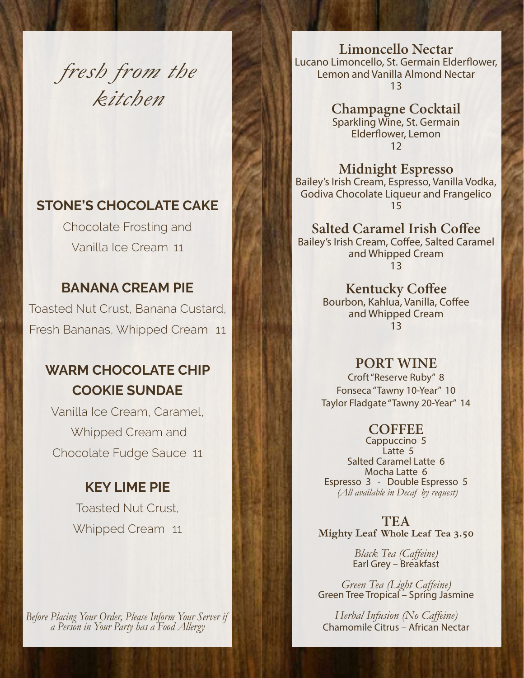

## **STONE'S CHOCOLATE CAKE**

Chocolate Frosting and Vanilla Ice Cream 11

#### **BANANA CREAM PIE**

Toasted Nut Crust, Banana Custard, Fresh Bananas, Whipped Cream 11

# **WARM CHOCOLATE CHIP COOKIE SUNDAE**

Vanilla Ice Cream, Caramel, Whipped Cream and Chocolate Fudge Sauce 11

### **KEY LIME PIE**

Toasted Nut Crust, Whipped Cream 11

*Before Placing Your Order, Please Inform Your Server if a Person in Your Party has a Food Allergy*

**Limoncello Nectar** Lucano Limoncello, St. Germain Elderflower, Lemon and Vanilla Almond Nectar 13

> **Champagne Cocktail** Sparkling Wine, St. Germain Elderflower, Lemon  $12$

#### **Midnight Espresso** Bailey's Irish Cream, Espresso, Vanilla Vodka, Godiva Chocolate Liqueur and Frangelico 15

**Salted Caramel Irish Coffee** Bailey's Irish Cream, Coffee, Salted Caramel and Whipped Cream 13

# **Kentucky Coffee**

Bourbon, Kahlua, Vanilla, Coffee and Whipped Cream 13

#### **PORT WINE**

Croft "Reserve Ruby" 8 Fonseca "Tawny 10-Year" 10 Taylor Fladgate "Tawny 20-Year" 14

#### **COFFEE**

Cappuccino 5 Latte 5 Salted Caramel Latte 6 Mocha Latte 6 Espresso 3 - Double Espresso 5  *(All available in Decaf by request)*

**TEA Mighty Leaf Whole Leaf Tea 3.50**

> *Black Tea (Caffeine)* Earl Grey – Breakfast

*Green Tea (Light Caffeine)* Green Tree Tropical – Spring Jasmine

*Herbal Infusion (No Caffeine)* Chamomile Citrus – African Nectar